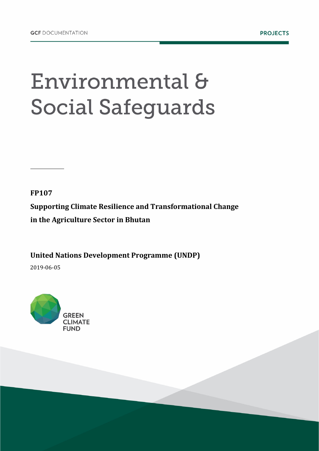## Environmental & **Social Safeguards**

**FP107**

**Supporting Climate Resilience and Transformational Change in the Agriculture Sector in Bhutan** 

**United Nations Development Programme (UNDP)** 

2019-06-05

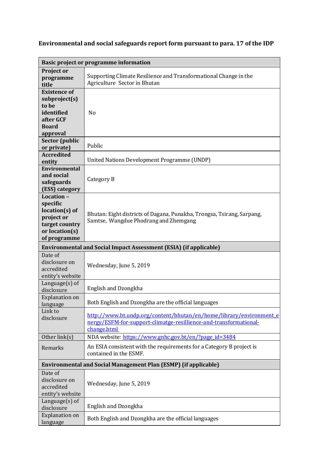## **Environmental and social safeguards report form pursuant to para. 17 of the IDP**

| Basic project or programme information                                                                       |                                                                                                                                                        |
|--------------------------------------------------------------------------------------------------------------|--------------------------------------------------------------------------------------------------------------------------------------------------------|
| <b>Project or</b><br>programme<br>title                                                                      | Supporting Climate Resilience and Transformational Change in the<br>Agriculture Sector in Bhutan                                                       |
| <b>Existence of</b><br>subproject(s)<br>to be<br>identified<br>after GCF<br><b>Board</b><br>approval         | N <sub>o</sub>                                                                                                                                         |
| <b>Sector (public</b><br>or private)                                                                         | Public                                                                                                                                                 |
| <b>Accredited</b><br>entity                                                                                  | United Nations Development Programme (UNDP)                                                                                                            |
| <b>Environmental</b><br>and social<br>safeguards<br>(ESS) category                                           | Category B                                                                                                                                             |
| Location -<br>specific<br>$location(s)$ of<br>project or<br>target country<br>or location(s)<br>of programme | Bhutan: Eight districts of Dagana, Punakha, Trongsa, Tsirang, Sarpang,<br>Samtse, Wangdue Phodrang and Zhemgang                                        |
|                                                                                                              |                                                                                                                                                        |
|                                                                                                              | <b>Environmental and Social Impact Assessment (ESIA) (if applicable)</b>                                                                               |
| Date of<br>disclosure on<br>accredited<br>entity's website                                                   | Wednesday, June 5, 2019                                                                                                                                |
| Language $(s)$ of<br>disclosure                                                                              | <b>English and Dzongkha</b>                                                                                                                            |
| <b>Explanation on</b><br>language                                                                            | Both English and Dzongkha are the official languages                                                                                                   |
| Link to<br>disclosure                                                                                        | http://www.bt.undp.org/content/bhutan/en/home/library/environmente<br>nergy/ESFM-for-support-climatge-resillience-and-transformational-<br>change.html |
| Other link(s)                                                                                                | NDA website: https://www.gnhc.gov.bt/en/?page_id=3484                                                                                                  |
| Remarks                                                                                                      | An ESIA consistent with the requirements for a Category B project is<br>contained in the ESMF.                                                         |
|                                                                                                              | <b>Environmental and Social Management Plan (ESMP) (if applicable)</b>                                                                                 |
| Date of<br>disclosure on<br>accredited<br>entity's website                                                   | Wednesday, June 5, 2019                                                                                                                                |
| Language(s) of<br>disclosure                                                                                 | English and Dzongkha                                                                                                                                   |